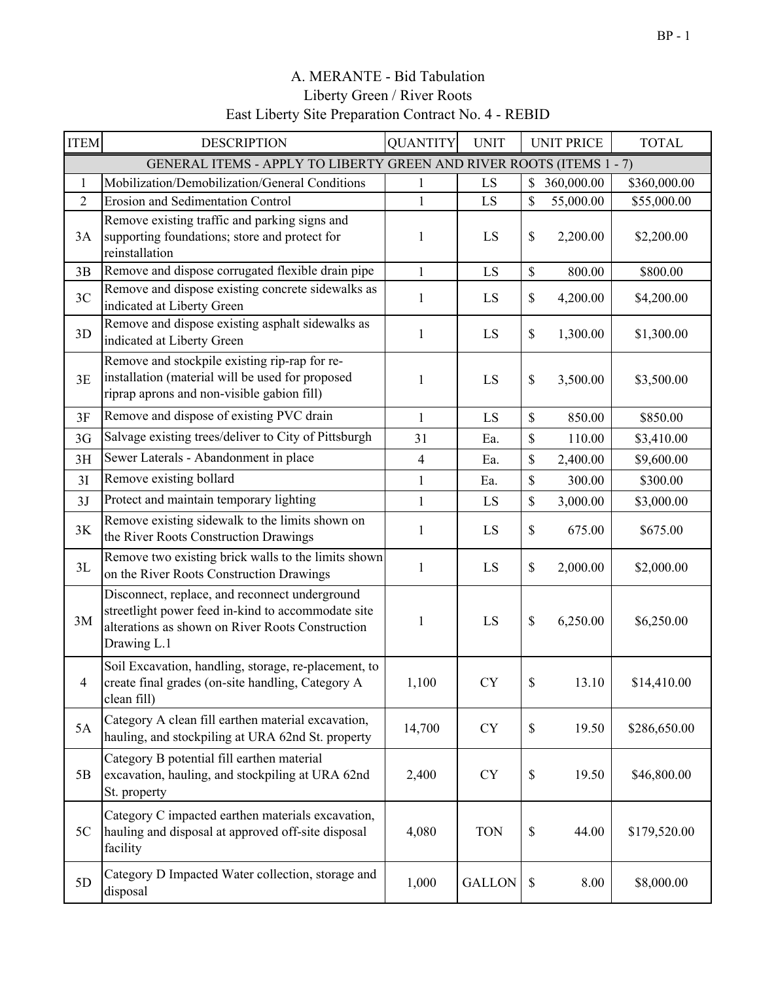| <b>ITEM</b>    | <b>DESCRIPTION</b>                                                                                                                                                      | <b>QUANTITY</b> | <b>UNIT</b>              |      | <b>UNIT PRICE</b> | <b>TOTAL</b> |  |  |
|----------------|-------------------------------------------------------------------------------------------------------------------------------------------------------------------------|-----------------|--------------------------|------|-------------------|--------------|--|--|
|                | GENERAL ITEMS - APPLY TO LIBERTY GREEN AND RIVER ROOTS (ITEMS 1 - 7)                                                                                                    |                 |                          |      |                   |              |  |  |
| $\mathbf{1}$   | Mobilization/Demobilization/General Conditions                                                                                                                          | 1               | LS                       | \$   | 360,000.00        | \$360,000.00 |  |  |
| $\overline{2}$ | <b>Erosion and Sedimentation Control</b>                                                                                                                                | $\mathbf{1}$    | LS                       | \$   | 55,000.00         | \$55,000.00  |  |  |
| 3A             | Remove existing traffic and parking signs and<br>supporting foundations; store and protect for<br>reinstallation                                                        | 1               | LS                       | \$   | 2,200.00          | \$2,200.00   |  |  |
| 3B             | Remove and dispose corrugated flexible drain pipe                                                                                                                       | $\mathbf{1}$    | LS                       | $\$$ | 800.00            | \$800.00     |  |  |
| 3C             | Remove and dispose existing concrete sidewalks as<br>indicated at Liberty Green                                                                                         | 1               | LS                       | \$   | 4,200.00          | \$4,200.00   |  |  |
| 3D             | Remove and dispose existing asphalt sidewalks as<br>indicated at Liberty Green                                                                                          | 1               | LS                       | \$   | 1,300.00          | \$1,300.00   |  |  |
| 3E             | Remove and stockpile existing rip-rap for re-<br>installation (material will be used for proposed<br>riprap aprons and non-visible gabion fill)                         | $\mathbf{1}$    | LS                       | \$   | 3,500.00          | \$3,500.00   |  |  |
| 3F             | Remove and dispose of existing PVC drain                                                                                                                                | $\mathbf{1}$    | LS                       | \$   | 850.00            | \$850.00     |  |  |
| 3G             | Salvage existing trees/deliver to City of Pittsburgh                                                                                                                    | 31              | Ea.                      | \$   | 110.00            | \$3,410.00   |  |  |
| 3H             | Sewer Laterals - Abandonment in place                                                                                                                                   | $\overline{4}$  | Ea.                      | \$   | 2,400.00          | \$9,600.00   |  |  |
| 3I             | Remove existing bollard                                                                                                                                                 | $\mathbf{1}$    | Ea.                      | \$   | 300.00            | \$300.00     |  |  |
| 3J             | Protect and maintain temporary lighting                                                                                                                                 | $\mathbf{1}$    | LS                       | \$   | 3,000.00          | \$3,000.00   |  |  |
| 3K             | Remove existing sidewalk to the limits shown on<br>the River Roots Construction Drawings                                                                                | 1               | LS                       | \$   | 675.00            | \$675.00     |  |  |
| 3L             | Remove two existing brick walls to the limits shown<br>on the River Roots Construction Drawings                                                                         | $\mathbf{1}$    | LS                       | \$   | 2,000.00          | \$2,000.00   |  |  |
| 3M             | Disconnect, replace, and reconnect underground<br>streetlight power feed in-kind to accommodate site<br>alterations as shown on River Roots Construction<br>Drawing L.1 | 1               | $\mathop{\hbox{\rm LS}}$ | $\$$ | 6,250.00          | \$6,250.00   |  |  |
| 4              | Soil Excavation, handling, storage, re-placement, to<br>create final grades (on-site handling, Category A<br>clean fill)                                                | 1,100           | <b>CY</b>                | \$   | 13.10             | \$14,410.00  |  |  |
| 5A             | Category A clean fill earthen material excavation,<br>hauling, and stockpiling at URA 62nd St. property                                                                 | 14,700          | <b>CY</b>                | \$   | 19.50             | \$286,650.00 |  |  |
| 5B             | Category B potential fill earthen material<br>excavation, hauling, and stockpiling at URA 62nd<br>St. property                                                          | 2,400           | <b>CY</b>                | \$   | 19.50             | \$46,800.00  |  |  |
| 5C             | Category C impacted earthen materials excavation,<br>hauling and disposal at approved off-site disposal<br>facility                                                     | 4,080           | <b>TON</b>               | \$   | 44.00             | \$179,520.00 |  |  |
| 5D             | Category D Impacted Water collection, storage and<br>disposal                                                                                                           | 1,000           | <b>GALLON</b>            | \$   | 8.00              | \$8,000.00   |  |  |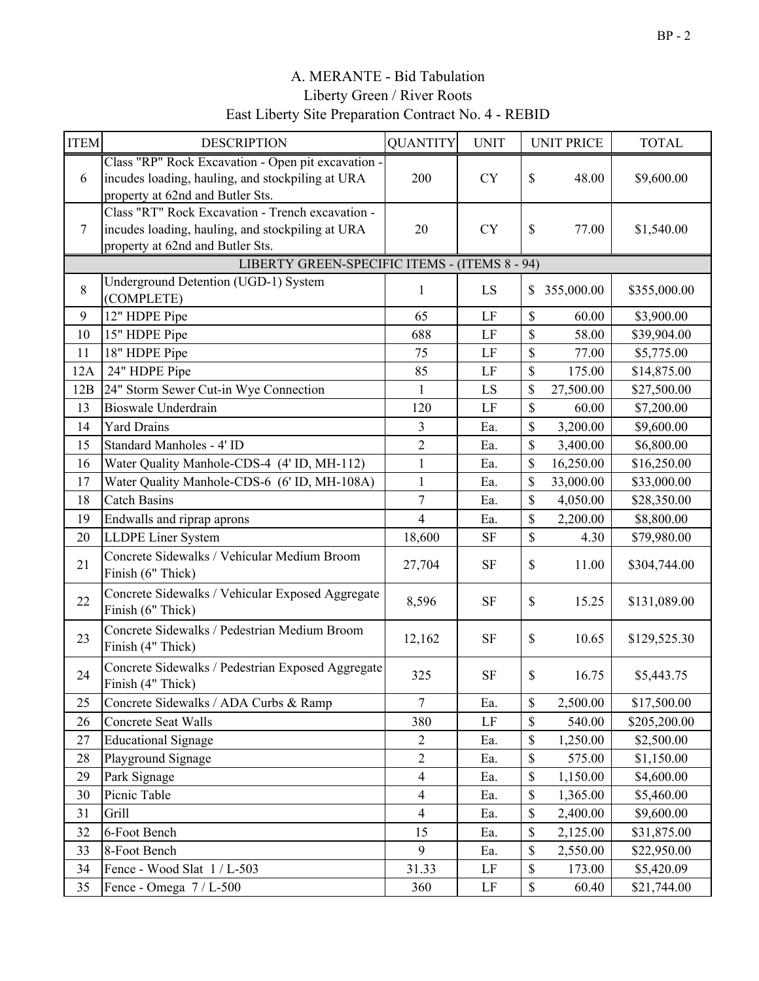| <b>ITEM</b>    | <b>DESCRIPTION</b>                                                                                                                         | <b>QUANTITY</b>         | <b>UNIT</b> |               | <b>UNIT PRICE</b> | <b>TOTAL</b> |
|----------------|--------------------------------------------------------------------------------------------------------------------------------------------|-------------------------|-------------|---------------|-------------------|--------------|
| 6              | Class "RP" Rock Excavation - Open pit excavation -<br>incudes loading, hauling, and stockpiling at URA<br>property at 62nd and Butler Sts. | 200                     | <b>CY</b>   | \$            | 48.00             | \$9,600.00   |
| $\overline{7}$ | Class "RT" Rock Excavation - Trench excavation -<br>incudes loading, hauling, and stockpiling at URA<br>property at 62nd and Butler Sts.   | 20                      | <b>CY</b>   | \$            | 77.00             | \$1,540.00   |
|                | LIBERTY GREEN-SPECIFIC ITEMS - (ITEMS 8 - 94)                                                                                              |                         |             |               |                   |              |
| 8              | Underground Detention (UGD-1) System<br>(COMPLETE)                                                                                         | $\mathbf{1}$            | LS          | $\mathbb{S}$  | 355,000.00        | \$355,000.00 |
| 9              | 12" HDPE Pipe                                                                                                                              | 65                      | LF          | \$            | 60.00             | \$3,900.00   |
| 10             | 15" HDPE Pipe                                                                                                                              | 688                     | LF          | \$            | 58.00             | \$39,904.00  |
| 11             | 18" HDPE Pipe                                                                                                                              | 75                      | LF          | \$            | 77.00             | \$5,775.00   |
| 12A            | 24" HDPE Pipe                                                                                                                              | 85                      | LF          | \$            | 175.00            | \$14,875.00  |
| 12B            | 24" Storm Sewer Cut-in Wye Connection                                                                                                      | 1                       | LS          | \$            | 27,500.00         | \$27,500.00  |
| 13             | <b>Bioswale Underdrain</b>                                                                                                                 | 120                     | $\rm LF$    | \$            | 60.00             | \$7,200.00   |
| 14             | <b>Yard Drains</b>                                                                                                                         | 3                       | Ea.         | \$            | 3,200.00          | \$9,600.00   |
| 15             | Standard Manholes - 4' ID                                                                                                                  | $\overline{2}$          | Ea.         | \$            | 3,400.00          | \$6,800.00   |
| 16             | Water Quality Manhole-CDS-4 (4' ID, MH-112)                                                                                                | $\mathbf{1}$            | Ea.         | $\mathcal{S}$ | 16,250.00         | \$16,250.00  |
| 17             | Water Quality Manhole-CDS-6 (6' ID, MH-108A)                                                                                               | $\mathbf{1}$            | Ea.         | \$            | 33,000.00         | \$33,000.00  |
| 18             | <b>Catch Basins</b>                                                                                                                        | $\overline{7}$          | Ea.         | \$            | 4,050.00          | \$28,350.00  |
| 19             | Endwalls and riprap aprons                                                                                                                 | $\overline{\mathbf{4}}$ | Ea.         | \$            | 2,200.00          | \$8,800.00   |
| 20             | <b>LLDPE</b> Liner System                                                                                                                  | 18,600                  | <b>SF</b>   | \$            | 4.30              | \$79,980.00  |
| 21             | Concrete Sidewalks / Vehicular Medium Broom<br>Finish (6" Thick)                                                                           | 27,704                  | <b>SF</b>   | \$            | 11.00             | \$304,744.00 |
| 22             | Concrete Sidewalks / Vehicular Exposed Aggregate<br>Finish (6" Thick)                                                                      | 8,596                   | <b>SF</b>   | \$            | 15.25             | \$131,089.00 |
| 23             | Concrete Sidewalks / Pedestrian Medium Broom<br>Finish (4" Thick)                                                                          | 12,162                  | <b>SF</b>   | \$            | 10.65             | \$129,525.30 |
| 24             | Concrete Sidewalks / Pedestrian Exposed Aggregate<br>Finish (4" Thick)                                                                     | 325                     | <b>SF</b>   | \$            | 16.75             | \$5,443.75   |
| 25             | Concrete Sidewalks / ADA Curbs & Ramp                                                                                                      | $\overline{7}$          | Ea.         | \$            | 2,500.00          | \$17,500.00  |
| 26             | Concrete Seat Walls                                                                                                                        | 380                     | $\rm LF$    | \$            | 540.00            | \$205,200.00 |
| 27             | <b>Educational Signage</b>                                                                                                                 | $\overline{c}$          | Ea.         | \$            | 1,250.00          | \$2,500.00   |
| 28             | Playground Signage                                                                                                                         | $\overline{2}$          | Ea.         | \$            | 575.00            | \$1,150.00   |
| 29             | Park Signage                                                                                                                               | $\overline{4}$          | Ea.         | \$            | 1,150.00          | \$4,600.00   |
| 30             | Picnic Table                                                                                                                               | $\overline{4}$          | Ea.         | \$            | 1,365.00          | \$5,460.00   |
| 31             | Grill                                                                                                                                      | $\overline{4}$          | Ea.         | \$            | 2,400.00          | \$9,600.00   |
| 32             | 6-Foot Bench                                                                                                                               | 15                      | Ea.         | \$            | 2,125.00          | \$31,875.00  |
| 33             | 8-Foot Bench                                                                                                                               | 9                       | Ea.         | \$            | 2,550.00          | \$22,950.00  |
| 34             | Fence - Wood Slat 1 / L-503                                                                                                                | 31.33                   | LF          | \$            | 173.00            | \$5,420.09   |
| 35             | Fence - Omega 7 / L-500                                                                                                                    | 360                     | LF          | \$            | 60.40             | \$21,744.00  |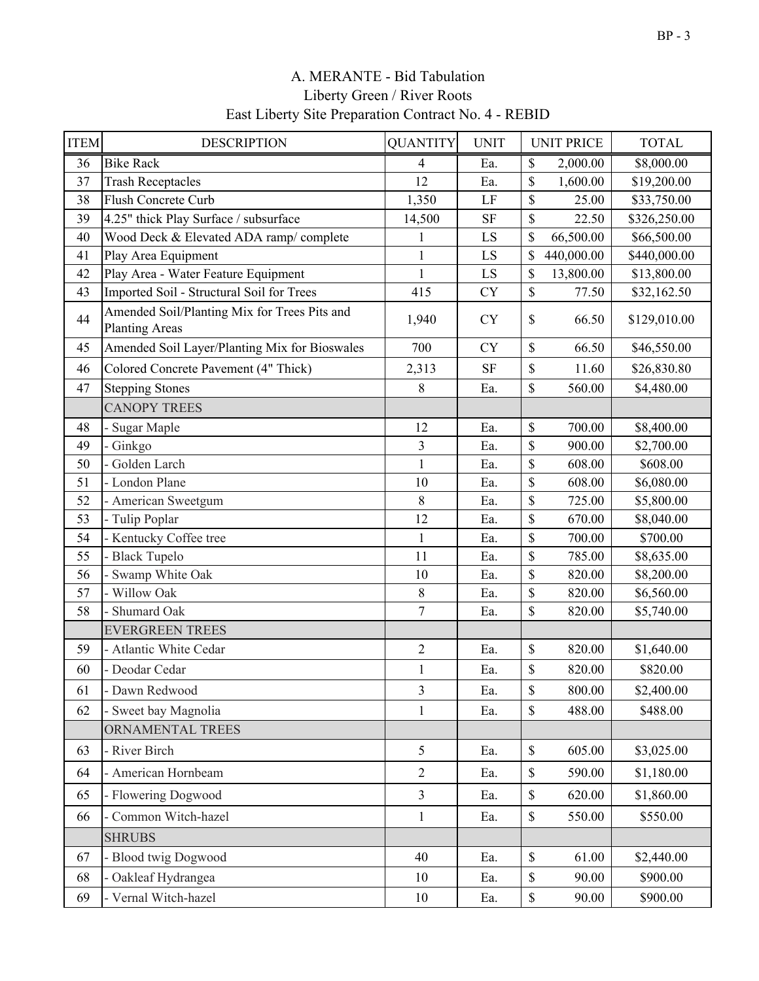| <b>ITEM</b> | <b>DESCRIPTION</b>                                                    | <b>QUANTITY</b>         | <b>UNIT</b> |             | <b>UNIT PRICE</b> | <b>TOTAL</b> |
|-------------|-----------------------------------------------------------------------|-------------------------|-------------|-------------|-------------------|--------------|
| 36          | <b>Bike Rack</b>                                                      | $\overline{4}$          | Ea.         | \$          | 2,000.00          | \$8,000.00   |
| 37          | <b>Trash Receptacles</b>                                              | 12                      | Ea.         | \$          | 1,600.00          | \$19,200.00  |
| 38          | Flush Concrete Curb                                                   | 1,350                   | LF          | \$          | 25.00             | \$33,750.00  |
| 39          | 4.25" thick Play Surface / subsurface                                 | 14,500                  | <b>SF</b>   | \$          | 22.50             | \$326,250.00 |
| 40          | Wood Deck & Elevated ADA ramp/complete                                | $\mathbf{1}$            | LS          | \$          | 66,500.00         | \$66,500.00  |
| 41          | Play Area Equipment                                                   | $\mathbf{1}$            | LS          |             | 440,000.00        | \$440,000.00 |
| 42          | Play Area - Water Feature Equipment                                   | $\mathbf{1}$            | LS          | \$          | 13,800.00         | \$13,800.00  |
| 43          | Imported Soil - Structural Soil for Trees                             | 415                     | <b>CY</b>   | \$          | 77.50             | \$32,162.50  |
| 44          | Amended Soil/Planting Mix for Trees Pits and<br><b>Planting Areas</b> | 1,940                   | <b>CY</b>   | \$          | 66.50             | \$129,010.00 |
| 45          | Amended Soil Layer/Planting Mix for Bioswales                         | 700                     | <b>CY</b>   | \$          | 66.50             | \$46,550.00  |
| 46          | Colored Concrete Pavement (4" Thick)                                  | 2,313                   | <b>SF</b>   | \$          | 11.60             | \$26,830.80  |
| 47          | <b>Stepping Stones</b>                                                | 8                       | Ea.         | \$          | 560.00            | \$4,480.00   |
|             | <b>CANOPY TREES</b>                                                   |                         |             |             |                   |              |
| 48          | Sugar Maple                                                           | 12                      | Ea.         | \$          | 700.00            | \$8,400.00   |
| 49          | - Ginkgo                                                              | $\overline{\mathbf{3}}$ | Ea.         | \$          | 900.00            | \$2,700.00   |
| 50          | Golden Larch                                                          | $\mathbf{1}$            | Ea.         | \$          | 608.00            | \$608.00     |
| 51          | - London Plane                                                        | 10                      | Ea.         | \$          | 608.00            | \$6,080.00   |
| 52          | American Sweetgum                                                     | 8                       | Ea.         | \$          | 725.00            | \$5,800.00   |
| 53          | Tulip Poplar                                                          | 12                      | Ea.         | \$          | 670.00            | \$8,040.00   |
| 54          | Kentucky Coffee tree                                                  | $\mathbf{1}$            | Ea.         | \$          | 700.00            | \$700.00     |
| 55          | <b>Black Tupelo</b>                                                   | 11                      | Ea.         | \$          | 785.00            | \$8,635.00   |
| 56          | Swamp White Oak                                                       | 10                      | Ea.         | \$          | 820.00            | \$8,200.00   |
| 57          | Willow Oak                                                            | 8                       | Ea.         | \$          | 820.00            | \$6,560.00   |
| 58          | Shumard Oak                                                           | $\overline{7}$          | Ea.         | \$          | 820.00            | \$5,740.00   |
|             | <b>EVERGREEN TREES</b>                                                |                         |             |             |                   |              |
| 59          | - Atlantic White Cedar                                                | $\overline{2}$          | Ea.         | \$          | 820.00            | \$1,640.00   |
| 60          | - Deodar Cedar                                                        | $\mathbf{1}$            | Ea.         | \$          | 820.00            | \$820.00     |
| 61          | - Dawn Redwood                                                        | 3                       | Ea.         | \$          | 800.00            | \$2,400.00   |
| 62          | Sweet bay Magnolia                                                    | $\mathbf{1}$            | Ea.         | \$          | 488.00            | \$488.00     |
|             | ORNAMENTAL TREES                                                      |                         |             |             |                   |              |
| 63          | - River Birch                                                         | 5                       | Ea.         | $\$$        | 605.00            | \$3,025.00   |
| 64          | American Hornbeam                                                     | $\overline{2}$          | Ea.         | \$          | 590.00            | \$1,180.00   |
| 65          | - Flowering Dogwood                                                   | 3                       | Ea.         | \$          | 620.00            | \$1,860.00   |
| 66          | Common Witch-hazel                                                    | $\mathbf{1}$            | Ea.         | \$          | 550.00            | \$550.00     |
|             | <b>SHRUBS</b>                                                         |                         |             |             |                   |              |
| 67          | - Blood twig Dogwood                                                  | 40                      | Ea.         | $\mathbb S$ | 61.00             | \$2,440.00   |
| 68          | Oakleaf Hydrangea                                                     | 10                      | Ea.         | \$          | 90.00             | \$900.00     |
| 69          | - Vernal Witch-hazel                                                  | 10                      | Ea.         | \$          | 90.00             | \$900.00     |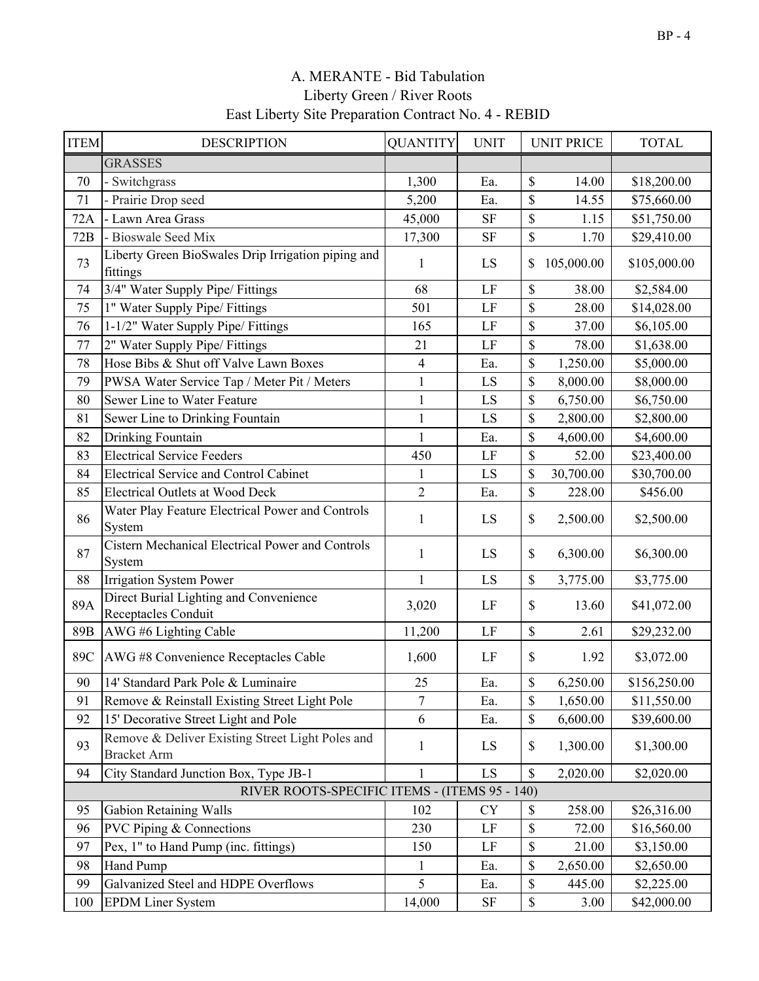| <b>ITEM</b> | <b>DESCRIPTION</b>                                                     | <b>QUANTITY</b> | <b>UNIT</b> | <b>UNIT PRICE</b> | <b>TOTAL</b> |
|-------------|------------------------------------------------------------------------|-----------------|-------------|-------------------|--------------|
|             | <b>GRASSES</b>                                                         |                 |             |                   |              |
| 70          | - Switchgrass                                                          | 1,300           | Ea.         | \$<br>14.00       | \$18,200.00  |
| 71          | - Prairie Drop seed                                                    | 5,200           | Ea.         | \$<br>14.55       | \$75,660.00  |
| 72A         | Lawn Area Grass                                                        | 45,000          | <b>SF</b>   | \$<br>1.15        | \$51,750.00  |
| 72B         | - Bioswale Seed Mix                                                    | 17,300          | <b>SF</b>   | \$<br>1.70        | \$29,410.00  |
| 73          | Liberty Green BioSwales Drip Irrigation piping and<br>fittings         | 1               | LS          | 105,000.00<br>S   | \$105,000.00 |
| 74          | 3/4" Water Supply Pipe/ Fittings                                       | 68              | LF          | \$<br>38.00       | \$2,584.00   |
| 75          | 1" Water Supply Pipe/ Fittings                                         | 501             | LF          | \$<br>28.00       | \$14,028.00  |
| 76          | 1-1/2" Water Supply Pipe/ Fittings                                     | 165             | $\rm LF$    | \$<br>37.00       | \$6,105.00   |
| 77          | 2" Water Supply Pipe/ Fittings                                         | 21              | LF          | \$<br>78.00       | \$1,638.00   |
| 78          | Hose Bibs & Shut off Valve Lawn Boxes                                  | $\overline{4}$  | Ea.         | \$<br>1,250.00    | \$5,000.00   |
| 79          | PWSA Water Service Tap / Meter Pit / Meters                            | $\mathbf{1}$    | LS          | \$<br>8,000.00    | \$8,000.00   |
| 80          | Sewer Line to Water Feature                                            | $\mathbf{1}$    | LS          | \$<br>6,750.00    | \$6,750.00   |
| 81          | Sewer Line to Drinking Fountain                                        | $\mathbf{1}$    | LS          | \$<br>2,800.00    | \$2,800.00   |
| 82          | Drinking Fountain                                                      | $\mathbf{1}$    | Ea.         | \$<br>4,600.00    | \$4,600.00   |
| 83          | <b>Electrical Service Feeders</b>                                      | 450             | LF          | \$<br>52.00       | \$23,400.00  |
| 84          | <b>Electrical Service and Control Cabinet</b>                          | 1               | LS          | 30,700.00<br>\$   | \$30,700.00  |
| 85          | <b>Electrical Outlets at Wood Deck</b>                                 | $\overline{2}$  | Ea.         | \$<br>228.00      | \$456.00     |
| 86          | Water Play Feature Electrical Power and Controls<br>System             | $\mathbf{1}$    | LS          | \$<br>2,500.00    | \$2,500.00   |
| 87          | Cistern Mechanical Electrical Power and Controls<br>System             | $\mathbf{1}$    | LS          | \$<br>6,300.00    | \$6,300.00   |
| 88          | Irrigation System Power                                                | $\mathbf{1}$    | LS          | \$<br>3,775.00    | \$3,775.00   |
| 89A         | Direct Burial Lighting and Convenience<br>Receptacles Conduit          | 3,020           | LF          | \$<br>13.60       | \$41,072.00  |
| 89B         | AWG #6 Lighting Cable                                                  | 11,200          | LF          | \$<br>2.61        | \$29,232.00  |
| 89C         | AWG #8 Convenience Receptacles Cable                                   | 1,600           | LF          | \$<br>1.92        | \$3,072.00   |
| 90          | 14' Standard Park Pole & Luminaire                                     | 25              | Ea.         | \$<br>6,250.00    | \$156,250.00 |
| 91          | Remove & Reinstall Existing Street Light Pole                          | $\tau$          | Ea.         | \$<br>1,650.00    | \$11,550.00  |
| 92          | 15' Decorative Street Light and Pole                                   | 6               | Ea.         | \$<br>6,600.00    | \$39,600.00  |
| 93          | Remove & Deliver Existing Street Light Poles and<br><b>Bracket Arm</b> | $\mathbf{1}$    | LS          | \$<br>1,300.00    | \$1,300.00   |
| 94          | City Standard Junction Box, Type JB-1                                  | 1               | LS          | \$<br>2,020.00    | \$2,020.00   |
|             | RIVER ROOTS-SPECIFIC ITEMS - (ITEMS 95 - 140)                          |                 |             |                   |              |
| 95          | Gabion Retaining Walls                                                 | 102             | <b>CY</b>   | \$<br>258.00      | \$26,316.00  |
| 96          | <b>PVC Piping &amp; Connections</b>                                    | 230             | LF          | \$<br>72.00       | \$16,560.00  |
| 97          | Pex, 1" to Hand Pump (inc. fittings)                                   | 150             | LF          | \$<br>21.00       | \$3,150.00   |
| 98          | <b>Hand Pump</b>                                                       | $\mathbf 1$     | Ea.         | \$<br>2,650.00    | \$2,650.00   |
| 99          | Galvanized Steel and HDPE Overflows                                    | 5               | Ea.         | \$<br>445.00      | \$2,225.00   |
| 100         | <b>EPDM Liner System</b>                                               | 14,000          | $\rm{SF}$   | \$<br>3.00        | \$42,000.00  |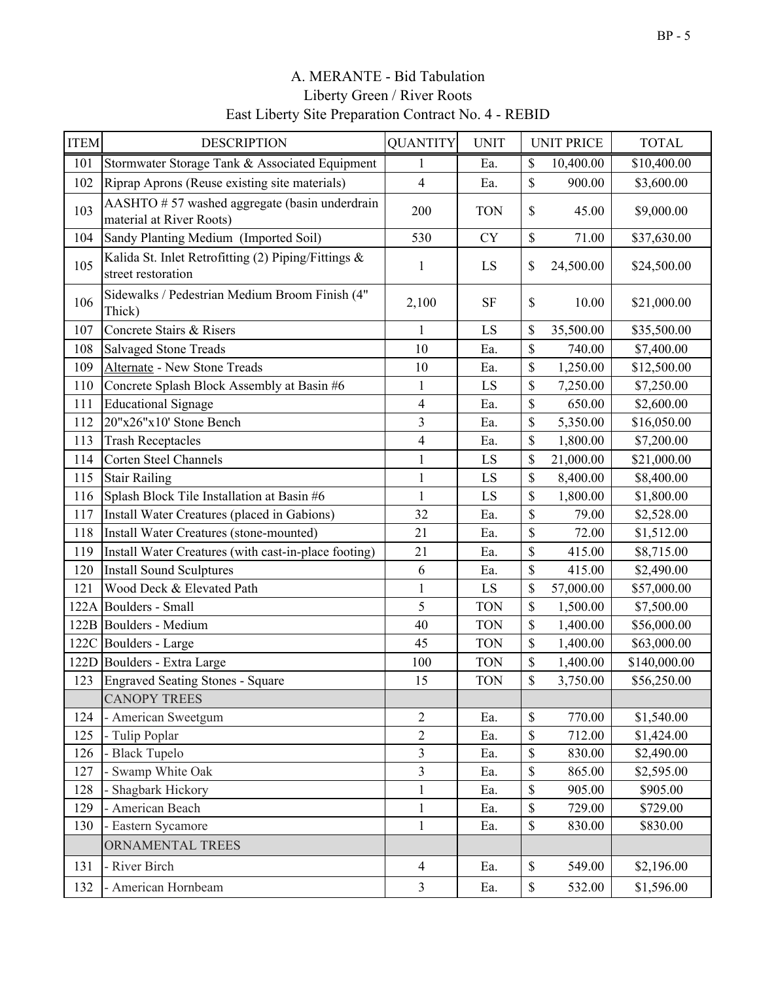| <b>ITEM</b> | <b>DESCRIPTION</b>                                                        | <b>QUANTITY</b>         | <b>UNIT</b>              |      | <b>UNIT PRICE</b> | <b>TOTAL</b> |
|-------------|---------------------------------------------------------------------------|-------------------------|--------------------------|------|-------------------|--------------|
| 101         | Stormwater Storage Tank & Associated Equipment                            | 1                       | Ea.                      | \$   | 10,400.00         | \$10,400.00  |
| 102         | Riprap Aprons (Reuse existing site materials)                             | $\overline{4}$          | Ea.                      | \$   | 900.00            | \$3,600.00   |
| 103         | AASHTO #57 washed aggregate (basin underdrain<br>material at River Roots) | 200                     | <b>TON</b>               | \$   | 45.00             | \$9,000.00   |
| 104         | Sandy Planting Medium (Imported Soil)                                     | 530                     | <b>CY</b>                | \$   | 71.00             | \$37,630.00  |
| 105         | Kalida St. Inlet Retrofitting (2) Piping/Fittings &<br>street restoration | 1                       | LS                       | \$   | 24,500.00         | \$24,500.00  |
| 106         | Sidewalks / Pedestrian Medium Broom Finish (4"<br>Thick)                  | 2,100                   | <b>SF</b>                | \$   | 10.00             | \$21,000.00  |
| 107         | Concrete Stairs & Risers                                                  | 1                       | LS                       | \$   | 35,500.00         | \$35,500.00  |
| 108         | <b>Salvaged Stone Treads</b>                                              | 10                      | Ea.                      | \$   | 740.00            | \$7,400.00   |
| 109         | Alternate - New Stone Treads                                              | 10                      | Ea.                      | \$   | 1,250.00          | \$12,500.00  |
| 110         | Concrete Splash Block Assembly at Basin #6                                | $\mathbf{1}$            | LS                       | \$   | 7,250.00          | \$7,250.00   |
| 111         | <b>Educational Signage</b>                                                | $\overline{\mathbf{4}}$ | Ea.                      | \$   | 650.00            | \$2,600.00   |
| 112         | 20"x26"x10' Stone Bench                                                   | $\overline{\mathbf{3}}$ | Ea.                      | \$   | 5,350.00          | \$16,050.00  |
| 113         | <b>Trash Receptacles</b>                                                  | $\overline{4}$          | Ea.                      | \$   | 1,800.00          | \$7,200.00   |
| 114         | <b>Corten Steel Channels</b>                                              | $\mathbf{1}$            | LS                       | \$   | 21,000.00         | \$21,000.00  |
| 115         | <b>Stair Railing</b>                                                      | $\mathbf{1}$            | $\mathop{\hbox{\rm LS}}$ | \$   | 8,400.00          | \$8,400.00   |
| 116         | Splash Block Tile Installation at Basin #6                                | $\mathbf{1}$            | LS                       | \$   | 1,800.00          | \$1,800.00   |
| 117         | Install Water Creatures (placed in Gabions)                               | 32                      | Ea.                      | \$   | 79.00             | \$2,528.00   |
| 118         | Install Water Creatures (stone-mounted)                                   | 21                      | Ea.                      | \$   | 72.00             | \$1,512.00   |
| 119         | Install Water Creatures (with cast-in-place footing)                      | 21                      | Ea.                      | \$   | 415.00            | \$8,715.00   |
| 120         | <b>Install Sound Sculptures</b>                                           | 6                       | Ea.                      | \$   | 415.00            | \$2,490.00   |
| 121         | Wood Deck & Elevated Path                                                 | $\mathbf{1}$            | LS                       | \$   | 57,000.00         | \$57,000.00  |
|             | 122A Boulders - Small                                                     | 5                       | <b>TON</b>               | \$   | 1,500.00          | \$7,500.00   |
|             | 122B Boulders - Medium                                                    | 40                      | <b>TON</b>               | \$   | 1,400.00          | \$56,000.00  |
| 122C        | Boulders - Large                                                          | 45                      | <b>TON</b>               | \$   | 1,400.00          | \$63,000.00  |
|             | 122D Boulders - Extra Large                                               | 100                     | <b>TON</b>               | \$   | 1,400.00          | \$140,000.00 |
|             | 123 Engraved Seating Stones - Square                                      | 15                      | <b>TON</b>               | \$   | 3,750.00          | \$56,250.00  |
|             | <b>CANOPY TREES</b>                                                       |                         |                          |      |                   |              |
| 124         | - American Sweetgum                                                       | $\overline{2}$          | Ea.                      | $\$$ | 770.00            | \$1,540.00   |
| 125         | - Tulip Poplar                                                            | $\overline{2}$          | Ea.                      | \$   | 712.00            | \$1,424.00   |
| 126         | - Black Tupelo                                                            | $\overline{3}$          | Ea.                      | \$   | 830.00            | \$2,490.00   |
| 127         | - Swamp White Oak                                                         | $\overline{3}$          | Ea.                      | \$   | 865.00            | \$2,595.00   |
| 128         | Shagbark Hickory                                                          | $\mathbf{1}$            | Ea.                      | \$   | 905.00            | \$905.00     |
| 129         | - American Beach                                                          | $\mathbf{1}$            | Ea.                      | \$   | 729.00            | \$729.00     |
| 130         | - Eastern Sycamore                                                        | $\mathbf{1}$            | Ea.                      | \$   | 830.00            | \$830.00     |
|             | ORNAMENTAL TREES                                                          |                         |                          |      |                   |              |
| 131         | - River Birch                                                             | 4                       | Ea.                      | $\$$ | 549.00            | \$2,196.00   |
| 132         | - American Hornbeam                                                       | $\overline{3}$          | Ea.                      | $\$$ | 532.00            | \$1,596.00   |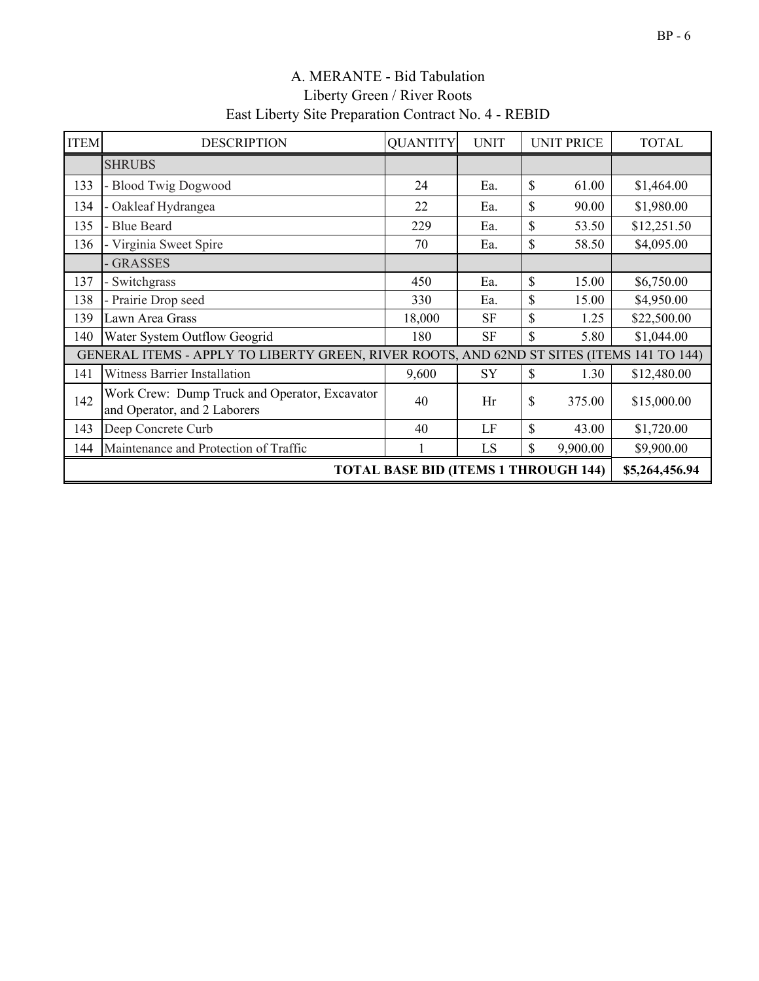| <b>ITEM</b> | <b>DESCRIPTION</b>                                                                        | <b>QUANTITY</b> | <b>UNIT</b> |    | <b>UNIT PRICE</b> | <b>TOTAL</b> |  |
|-------------|-------------------------------------------------------------------------------------------|-----------------|-------------|----|-------------------|--------------|--|
|             | <b>SHRUBS</b>                                                                             |                 |             |    |                   |              |  |
| 133         | <b>Blood Twig Dogwood</b>                                                                 | 24              | Ea.         | \$ | 61.00             | \$1,464.00   |  |
| 134         | Oakleaf Hydrangea                                                                         | 22              | Ea.         | \$ | 90.00             | \$1,980.00   |  |
| 135         | <b>Blue Beard</b>                                                                         | 229             | Ea.         | \$ | 53.50             | \$12,251.50  |  |
| 136         | Virginia Sweet Spire                                                                      | 70              | Ea.         | \$ | 58.50             | \$4,095.00   |  |
|             | <b>GRASSES</b>                                                                            |                 |             |    |                   |              |  |
| 137         | Switchgrass                                                                               | 450             | Ea.         | \$ | 15.00             | \$6,750.00   |  |
| 138         | Prairie Drop seed                                                                         | 330             | Ea.         | \$ | 15.00             | \$4,950.00   |  |
| 139         | Lawn Area Grass                                                                           | 18,000          | <b>SF</b>   | \$ | 1.25              | \$22,500.00  |  |
| 140         | Water System Outflow Geogrid                                                              | 180             | <b>SF</b>   | \$ | 5.80              | \$1,044.00   |  |
|             | GENERAL ITEMS - APPLY TO LIBERTY GREEN, RIVER ROOTS, AND 62ND ST SITES (ITEMS 141 TO 144) |                 |             |    |                   |              |  |
| 141         | <b>Witness Barrier Installation</b>                                                       | 9,600           | SY          | \$ | 1.30              | \$12,480.00  |  |
| 142         | Work Crew: Dump Truck and Operator, Excavator<br>and Operator, and 2 Laborers             | 40              | Hr          | \$ | 375.00            | \$15,000.00  |  |
| 143         | Deep Concrete Curb                                                                        | 40              | LF          | \$ | 43.00             | \$1,720.00   |  |
| 144         | Maintenance and Protection of Traffic                                                     |                 | LS          | \$ | 9,900.00          | \$9,900.00   |  |
|             | <b>TOTAL BASE BID (ITEMS 1 THROUGH 144)</b>                                               |                 |             |    |                   |              |  |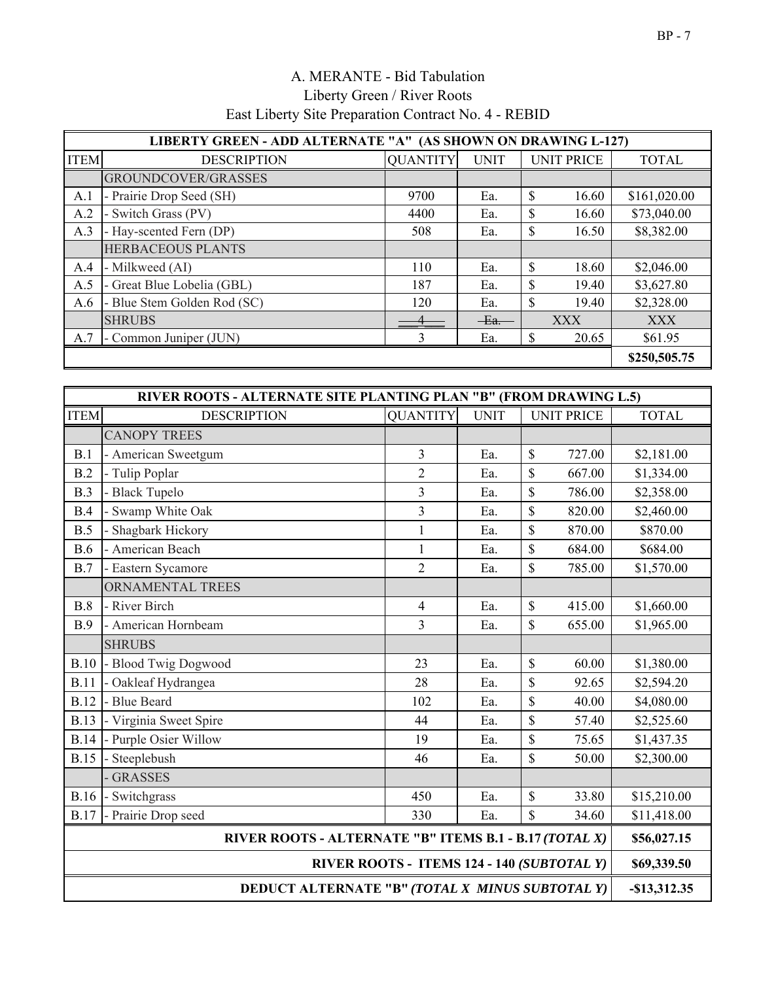|             | LIBERTY GREEN - ADD ALTERNATE "A" (AS SHOWN ON DRAWING L-127) |                 |             |                   |              |  |  |  |
|-------------|---------------------------------------------------------------|-----------------|-------------|-------------------|--------------|--|--|--|
| <b>ITEM</b> | <b>DESCRIPTION</b>                                            | <b>OUANTITY</b> | <b>UNIT</b> | <b>UNIT PRICE</b> | <b>TOTAL</b> |  |  |  |
|             | GROUNDCOVER/GRASSES                                           |                 |             |                   |              |  |  |  |
| A.1         | - Prairie Drop Seed (SH)                                      | 9700            | Ea.         | \$.<br>16.60      | \$161,020.00 |  |  |  |
| A.2         | - Switch Grass (PV)                                           | 4400            | Ea.         | \$<br>16.60       | \$73,040.00  |  |  |  |
| A.3         | - Hay-scented Fern (DP)                                       | 508             | Ea.         | \$<br>16.50       | \$8,382.00   |  |  |  |
|             | <b>HERBACEOUS PLANTS</b>                                      |                 |             |                   |              |  |  |  |
| A.4         | - Milkweed (AI)                                               | 110             | Ea.         | \$<br>18.60       | \$2,046.00   |  |  |  |
| A.5         | - Great Blue Lobelia (GBL)                                    | 187             | Ea.         | \$.<br>19.40      | \$3,627.80   |  |  |  |
| A.6         | - Blue Stem Golden Rod (SC)                                   | 120             | Ea.         | \$<br>19.40       | \$2,328.00   |  |  |  |
|             | <b>SHRUBS</b>                                                 |                 | $-Ea.$      | <b>XXX</b>        | <b>XXX</b>   |  |  |  |
| A.7         | - Common Juniper (JUN)                                        | 3               | Ea.         | \$<br>20.65       | \$61.95      |  |  |  |
|             |                                                               |                 |             |                   | \$250,505.75 |  |  |  |

|             | RIVER ROOTS - ALTERNATE SITE PLANTING PLAN "B" (FROM DRAWING L.5) |                         |             |                                            |              |  |  |  |
|-------------|-------------------------------------------------------------------|-------------------------|-------------|--------------------------------------------|--------------|--|--|--|
| <b>ITEM</b> | <b>DESCRIPTION</b>                                                | <b>QUANTITY</b>         | <b>UNIT</b> | <b>UNIT PRICE</b>                          | <b>TOTAL</b> |  |  |  |
|             | <b>CANOPY TREES</b>                                               |                         |             |                                            |              |  |  |  |
| B.1         | - American Sweetgum                                               | $\overline{\mathbf{3}}$ | Ea.         | \$<br>727.00                               | \$2,181.00   |  |  |  |
| B.2         | - Tulip Poplar                                                    | $\overline{2}$          | Ea.         | \$<br>667.00                               | \$1,334.00   |  |  |  |
| B.3         | <b>Black Tupelo</b>                                               | $\overline{\mathbf{3}}$ | Ea.         | \$<br>786.00                               | \$2,358.00   |  |  |  |
| B.4         | Swamp White Oak                                                   | $\overline{3}$          | Ea.         | \$<br>820.00                               | \$2,460.00   |  |  |  |
| B.5         | Shagbark Hickory                                                  | $\mathbf{1}$            | Ea.         | \$<br>870.00                               | \$870.00     |  |  |  |
| <b>B.6</b>  | American Beach                                                    | $\mathbf{1}$            | Ea.         | \$<br>684.00                               | \$684.00     |  |  |  |
| B.7         | - Eastern Sycamore                                                | $\overline{2}$          | Ea.         | \$<br>785.00                               | \$1,570.00   |  |  |  |
|             | <b>ORNAMENTAL TREES</b>                                           |                         |             |                                            |              |  |  |  |
| B.8         | - River Birch                                                     | $\overline{4}$          | Ea.         | \$<br>415.00                               | \$1,660.00   |  |  |  |
| <b>B.9</b>  | - American Hornbeam                                               | 3                       | Ea.         | \$<br>655.00                               | \$1,965.00   |  |  |  |
|             | <b>SHRUBS</b>                                                     |                         |             |                                            |              |  |  |  |
| <b>B.10</b> | - Blood Twig Dogwood                                              | 23                      | Ea.         | \$<br>60.00                                | \$1,380.00   |  |  |  |
| <b>B.11</b> | - Oakleaf Hydrangea                                               | 28                      | Ea.         | \$<br>92.65                                | \$2,594.20   |  |  |  |
| <b>B.12</b> | - Blue Beard                                                      | 102                     | Ea.         | \$<br>40.00                                | \$4,080.00   |  |  |  |
| <b>B.13</b> | - Virginia Sweet Spire                                            | 44                      | Ea.         | \$<br>57.40                                | \$2,525.60   |  |  |  |
| <b>B.14</b> | - Purple Osier Willow                                             | 19                      | Ea.         | \$<br>75.65                                | \$1,437.35   |  |  |  |
| <b>B.15</b> | Steeplebush                                                       | 46                      | Ea.         | \$<br>50.00                                | \$2,300.00   |  |  |  |
|             | <b>GRASSES</b>                                                    |                         |             |                                            |              |  |  |  |
| <b>B.16</b> | Switchgrass                                                       | 450                     | Ea.         | \$<br>33.80                                | \$15,210.00  |  |  |  |
| <b>B.17</b> | - Prairie Drop seed                                               | 330                     | Ea.         | \$<br>34.60                                | \$11,418.00  |  |  |  |
|             | RIVER ROOTS - ALTERNATE "B" ITEMS B.1 - B.17 (TOTAL X)            |                         |             |                                            | \$56,027.15  |  |  |  |
|             |                                                                   |                         |             | RIVER ROOTS - ITEMS 124 - 140 (SUBTOTAL Y) | \$69,339.50  |  |  |  |
|             | DEDUCT ALTERNATE "B" (TOTAL X MINUS SUBTOTAL Y)                   |                         |             |                                            |              |  |  |  |